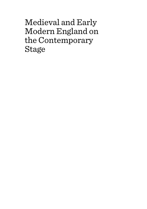Medieval and Early Modern England on the Contemporary Stage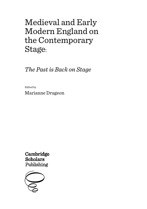# Medieval and Early Modern England on the Contemporary Stage:

*The Past is Back on Stage*

Edited by

Marianne Drugeon

Cambridge **Scholars** Publishing

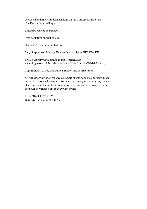Medieval and Early Modern England on the Contemporary Stage: The Past is Back on Stage

Edited by Marianne Drugeon

This book first published 2021

Cambridge Scholars Publishing

Lady Stephenson Library, Newcastle upon Tyne, NE6 2PA, UK

British Library Cataloguing in Publication Data A catalogue record for this book is available from the British Library

Copyright © 2021 by Marianne Drugeon and contributors

All rights for this book reserved. No part of this book may be reproduced, stored in a retrieval system, or transmitted, in any form or by any means, electronic, mechanical, photocopying, recording or otherwise, without the prior permission of the copyright owner.

ISBN (10): 1-5275-7127-0 ISBN (13): 978-1-5275-7127-3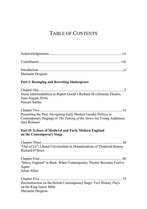## TABLE OF CONTENTS

| Marianne Drugeon                                                                                                                                        |
|---------------------------------------------------------------------------------------------------------------------------------------------------------|
| <b>Part I: Restaging and Rewriting Shakespeare</b>                                                                                                      |
| Ironic Intermedialities in Rupert Goold's Richard III (Almeida Theatre,<br>June-August 2016)<br>Pascale Sardin                                          |
| Presenting the Past: Navigating Early Modern Gender Politics in<br>Contemporary Stagings of The Taming of the Shrew for Young Audiences<br>Sara Reimers |
| Part II: Echoes of Medieval and Early Modern England<br>on the Contemporary Stage                                                                       |
| "One of Us": Liberal Universalism in Dramatisations of Theatrical History<br>Richard O'Brien                                                            |
| "Merry England" is Back: When Contemporary Theatre Becomes Festive<br>Again<br>Julien Alliot                                                            |
| Reconstruction on the British Contemporary Stage: Two History Plays<br>on the King James Bible<br>Marianne Drugeon                                      |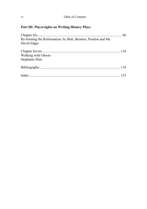| V1 | Table of Contents |
|----|-------------------|
|    |                   |

#### **Part III: Playwrights on Writing History Plays**

| Re-forming the Reformation: by Bolt, Brenton, Poulton and Me |  |
|--------------------------------------------------------------|--|
| David Edgar                                                  |  |
|                                                              |  |
| Walking with Ghosts                                          |  |
| Stephanie Dale                                               |  |
|                                                              |  |
|                                                              |  |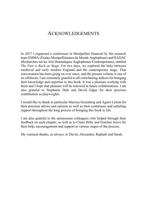### ACKNOWLEDGEMENTS

In 2017 I organised a conference in Montpellier financed by the research team EMMA (Études Montpelliéraines du Monde Anglophone) and RADAC (Recherches sur les Arts Dramatiques Anglophones Contemporains), entitled *The Past is Back on Stage*. For two days, we explored the links between medieval and early modern England and the contemporary stage. That conversation has been going on ever since, and the present volume is one of its offshoots. I am extremely grateful to all contributing authors for bringing their knowledge and expertise to this book. It was a pleasure working with them and I hope that pleasure will be renewed in future collaborations. I am also grateful to Stephanie Dale and David Edgar for their precious contribution as playwrights.

I would like to thank in particular Marissa Greenberg and Agnès Lafont for their precious advice and opinion as well as their continuous and unfailing support throughout the long process of bringing this book to life.

I am also grateful to the anonymous colleagues who helped through their feedback on each chapter, as well as to Claire Hélie and Emeline Jouve for their help, encouragement and support at various stages of the process.

My warmest thanks, as always, to David, Alexandra, Raphaël and Sarah.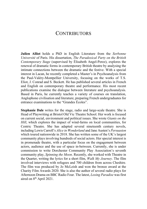### **CONTRIBUTORS**

**Julien Alliot** holds a PhD in English Literature from the *Sorbonne Université* of Paris. His dissertation, *The Paradoxical Party on the British Contemporary Stage* (supervised by Élisabeth Angel-Perez), explores the renewal of dramatic forms in contemporary British theatre by analysing the intimate connections between the dramatic and the festive. With a special interest in Lacan, he recently completed a Master's in Psychoanalysis from the Paul-Valéry-Montpellier University, focusing on the works of T.S. Eliot, J. Conrad and S. Beckett. He has published several articles in French and English on contemporary theatre and performance. His most recent publications examine the dialogue between literature and psychoanalysis. Based in Paris, he currently teaches a variety of courses on translation, Anglophone civilisation and literature, preparing French undergraduates for entrance examinations to the "Grandes Écoles".

**Stephanie Dale** writes for the stage, radio and large-scale theatre. She is Head of Playwriting at Bristol Old Vic Theatre School. Her work is focused on current social, environment and political issues. She wrote *Giants on the Hill*, which explores the impact of wind-farms on local communities, for Centric Theatre. She has adapted several nineteenth century novels, including Lewis Carroll's *Alice in Wonderland* and Jane Austen's *Persuasion* which toured nationwide in 2018. She has written some of the UK's largest community plays involving hundreds of social actors. Her special interest is in promenade theatre, with a particular focus on the engagement between actors, audience and the use of space in-between. Currently, she is under commission to write Dorchester Community Play Association's seventh community play, *Spinning the Moon*. Recently, she worked with Theatre in the Quarter, writing the lyrics for a short film, *Walk My Journey*. The film involved interviews with refugees and 700 children from across Cheshire. The film was produced by Jo McLeish and won the bronze award at the Charity Film Awards 2020. She is also the author of several radio plays for Afternoon Drama on BBC Radio Four. The latest, *Losing Paradise* was first aired on 8<sup>th</sup> April 2021.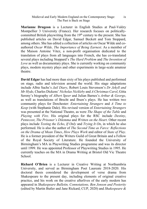**Marianne Drugeon** is a Lecturer in English Studies at Paul-Valéry Montpellier 3 University (France). Her research focuses on politicallycommitted British playwriting from the 19<sup>th</sup> century to the present. She has published articles on David Edgar, Samuel Beckett and Tom Stoppard, among others. She has edited a collection of articles on Oscar Wilde and coauthored *Oscar Wilde, The Importance of Being Earnest*. As a member of the Maison Antoine Vitez, a non-profit organisation dedicated to the translation of plays from all languages into French, she has co-translated several plays including Stoppard's *The Hard Problem* and *The Invention of Love* as well as documentary plays. She is currently working on community plays, modern mystery plays and other experiments in large-scale amateur theatre.

**David Edgar** has had more than sixty of his plays published and performed on stage, radio and television around the world. His stage adaptations include Albie Sachs's *Jail Diary*, Robert Louis Stevenson's *Dr Jekyll and Mr Hyde*, Charles Dickens' *Nicholas Nickleby* and *A Christmas Carol*, Gitta Sereny's biography of *Albert Speer* and Julian Barnes's *Arthur & George*, as well as translations of Brecht and Ibsen's plays. He has written two community plays for Dorchester: *Entertaining Strangers* and *A Time to Keep* (with Stephanie Dale). His revised version of *Entertaining Strangers* was presented at the National Theatre, as were *The Shape of the Table* and *Playing with Fire*. His original plays for the RSC include *Destiny*, *Pentecost*, *The Prisoner's Dilemma* and *Written on the Heart*. Other recent plays include *Testing the Echo*, *If Only* and *Trying It On*, in which he also performed. He is also the author of *The Second Time as Farce: Reflections on the Drama of Mean Times*, *How Plays Work* and editor of *State of Play*. He is a former president of the Writers Guild of Great Britain and a Fellow of the Royal Society of Literature. He founded the University of Birmingham's MA in Playwriting Studies programme and was its director until 1999. He was appointed Professor of Playwriting Studies in 1995. He currently teaches on the MA in Drama Writing at Bristol Old Vic Theatre School.

**Richard O'Brien** is a Lecturer in Creative Writing at Northumbria University, and served as Birmingham Poet Laureate 2018-2020. His doctoral thesis considered the development of verse drama from Shakespeare to the present day, including elements of original creative practice, and his work on the creative afterlives of the early modern has appeared in *Shakespeare Bulletin, Connotations, Ben Jonson and Posterity* (edited by Martin Butler and Jane Rickard, CUP, 2020) and *Shakespeare &*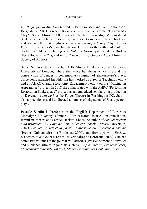#### x Contributors

*His Biographical Afterlives* (edited by Paul Franssen and Paul Edmondson, Berghahn 2020). His recent *Borrowers and Lenders* article '"I Know My Clay": Some Musical Afterlives of Hamlet's Gravedigger' considered Shakespearean echoes in songs by Georges Brassens and Jake Thackray, and featured the first English-language recording of 'Croque' by Thomas Fersen in the author's own translation. He is also the author of multiple poetry pamphlets (including *The Dolphin House*, published by Broken Sleep Books in 2021), and in 2017 won an Eric Gregory Award from the Society of Authors.

**Sara Reimers** studied for her AHRC-funded PhD at Royal Holloway, University of London, where she wrote her thesis on casting and the construction of gender in contemporary stagings of Shakespeare's plays. Since being awarded her PhD she has worked as a Senior Teaching Fellow and an AHRC Creative Economy Engagement Fellow on the "Making an Appearance" project. In 2018 she collaborated with the AHRC "Performing Restoration Shakespeare" project, as an embedded scholar on a production of Davenant's *Macbeth* at the Folger Theatre in Washington DC. Sara is also a practitioner and has directed a number of adaptations of Shakespeare's plays.

**Pascale Sardin** is Professor in the English Department of Bordeaux Montaigne University (France). Her research focuses on translation, feminism, theatre and Samuel Beckett. She is the author of *Samuel Beckett auto-traducteur ou l'art de l'empêchement* (Artois Presses Université, 2002), *Samuel Beckett et la passion maternelle ou l'hystérie à l'œuvre* (Presses Universitaires de Bordeaux, 2009), and *Rien à faire* – *Beckett, L'Ouverture de* Godot (Presses Universitaires de Bordeaux, 2009). She has edited two volumes of the journal *Palimpsestes*(Presses Sorbonne nouvelle) and published articles in journals such as *Coup de théâtre*, *Francosphères*, *Modernism/Modernity*, *MONTI*, *Études Britanniques Contemporaines*.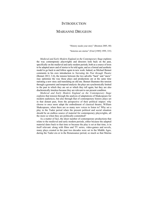### **INTRODUCTION**

### MARIANNE DRUGEON

"History needs your story" (Brenton 2005, 80)

"histories are stories" (Friel [1989] 1999, 335)

*Medieval and Early Modern England on the Contemporary Stage* explores the way contemporary playwrights and directors look back on the past, specifically on the medieval and early modern periods, both as a source of texts to be adapted anew and of stories to be told again, and as a formal and aesthetic model to go back to and follow again in new work. Indeed, as Michael Bennet comments in his own introduction to *Narrating the Past through Theatre* (Bennet 2013, 3-4), the tension between the two adverbs "back" and "anew" may epitomise the way those plays and productions are at the same time narrating a new story and translating an old one. Bennet illustrates this tension through a geometric and temporal analysis: the plays are synchronically limited to the past in which they are set or which they tell again, but they are also diachronically timeless because they are relevant to our present condition.

*Medieval and Early Modern England on the Contemporary Stage* explores that tension through the analysis of adaptations of Shakespeare for modern audiences, but also through that of contemporary history plays set in that distant past, from the perspective of their political impact: why choose to once more adapt the embodiment of classical theatre, William Shakespeare, when there are so many new voices to listen to? Why set a play in the Tudor period when the present political and social situation should be an endless source of material for contemporary playwrights, all the more so when they are politically-committed?

As a matter of fact, the sheer number of contemporary productions that relate to the medieval and early modern periods, either because the adapted material dates back to that time or because the play is set at that time, is in itself relevant: along with films and TV series, video-games and novels, many plays created in the past two decades were set in the Middle Ages, during the Tudor era or in the Renaissance period, so much so that Marina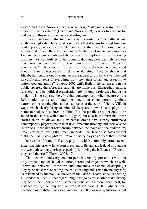Gerzic and Aida Norrie coined a new term, "early-modernism," on the model of "medievalism" (Gerzic and Norrie 2019, 3) so as to account for and analyse this recent tendency and sub-genre.

One explanation for that trend is certainly a nostalgia for a mythical past, all the more glorified because it is so distant that it seems to be cut from our contemporary preoccupations. But contrary to that view Anthony Pennino argues that Elizabethan England in particular is close to contemporary England on many counts and the productions explored in the following chapters most certainly echo that opinion, drawing clear parallels between that particular past and the present. James Shapiro comes to the same conclusion: "[T]he amount of information that historians have uncovered about life in Shakespeare's England is daunting. They've shown that Elizabethan culture ought to matter a great deal to us, for we've inherited its conflicting views of everything from the nature of self and sexuality to nationhood and empire" (Shapiro 2005, xiii). Both in the private and in the public spheres, therefore, the parallels are numerous. Elizabethan culture, its society and its political organisation are not only a reference but also a model. It is no surprise therefore that contemporary writers centre on the Reformation so as to obliquely comment on contemporary religious extremism, or use the plots and conspiracies at the court of Henry VIII, in ways which clearly bring to mind Shakespeare's own history plays, the better to analyse post-Brexit politics. But the parallels are not only to be found in the stories which are told (again) but also in the form that those stories share. Medieval and Elizabethan drama have clearly influenced contemporary playwrights in their use of metatheatricality and their wish to return to a more direct relationship between the stage and the auditorium, notably when following the Brechtian model. Jen Harvie also notes the fact that Brechtian playwrights will favour history plays as a form that is fitted to their vision of drama: "'History plays' – which commonly narrate events in national histories – have been prevalent in Britain and Ireland throughout the twentieth century, perhaps especially following the influence of Brecht's plays and theories" (Harvie 2005, 42).

The medieval and early modern periods certainly present us with not only aesthetic models but also stories, heroes and tragedies which are wellknown and beloved. For theatres and companies, the choice of adapting a play by Shakespeare or setting one in Tudor England is also financially safe, as evidenced by the popular success of the Globe Theatre since its opening in London in 1997. In that regard, might we go as far as infer that a history play set in the Tudor period is safer than one set in a more recent past, for instance during the Iraq war, or even World War II? It might be safer because a more distant historical material is better known by historians, but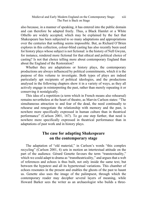also because, in a manner of speaking, it has entered into the public domain and can therefore be adapted freely. Thus, a Black Hamlet or a White Othello are widely accepted, which may be explained by the fact that Shakespeare has been subjected to so many adaptations and appropriations over the centuries that nothing seems impossible. But, as Richard O'Brien explores in this collection, colour-blind casting has also recently been used for history plays whose subject is not fictional: is the history of Nell Gwynn, for instance, rendered more fictional for that ethical and political choice of casting? Is not that choice telling more about contemporary England than about the England of the Restoration?

Whether they are adaptations or history plays, the contemporary productions are always influenced by political commitments, which it is the purpose of this volume to investigate. Both types of plays are indeed particularly apt recipients of political ideologies, and the productions analysed in the following chapters show it in a variety of ways, as they all actively engage in reinterpreting the past, rather than merely repeating it or conserving it nostalgically.

This idea of a repetition (a term which in French means also rehearsal) remains nevertheless at the heart of theatre, as Marvin Carlson states: "The simultaneous attraction to and fear of the dead, the need continually to rehearse and renegotiate the relationship with memory and the past, is nowhere more specifically expressed in human culture than in theatrical performance" (Carlson 2001, 167). To go one step further, that need is nowhere more specifically expressed in theatrical performance than in adaptations of past work and in history plays.

#### **The case for adapting Shakespeare on the contemporary stage**

The adaptation of "old material," in Carlson's words "this complex recycling" (Carlson 2001, 4) sets in motion an intertextual attitude on the part of the audience. Gérard Genette favours the term "transtextuality," which we could adapt to drama as "transtheatricality," and argues that a web of references and echoes is thus built, not only inside the same text, but between the hypotext and all its hypertextual variations. This chamber of echoes resonates in the present and enables the ghosts of the past to haunt us. Genette also uses the image of the palimpsest, through which the contemporary reader may decipher several layers of meaning, while Howard Barker sees the writer as an archaeologist who builds a three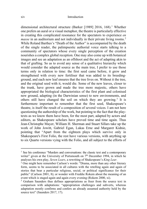dimensional architectural structure (Barker [[1](#page-13-0)989] 2016, 168).<sup>1</sup> Whether one prefers an aural or a visual metaphor, the theatre is particularly effective in creating this complicated resonance for the spectators to experience *en masse* in an auditorium and not individually in their private living rooms.<sup>[2](#page-13-1)</sup> While Roland Barthes's "Death of the Author" is accompanied by the death of the single reader, the palimpsestic authorial voice starts talking to a community of spectators whose every single perception of the creation nourishes a complex global reception. One may also come up with botanical images and see an adaptation as an offshoot and the act of adapting akin to that of grafting. So as to avoid any sense of a qualitative hierarchy which would consider the adapted source as the main tree, I prefer to use those terms only in relation to time: the first seed came before, it grew and strengthened with every new fertiliser that was added to its breedingground, and each new leaf ensures that the tree lives on. Without it the tree, and the original seed with it, would die. Some of the new leaves, closer to the trunk, have grown and made the tree more majestic, others have appropriated the biological characteristics of the first plant and colonised new ground, adapting (in the Darwinian sense) to new environments, and others still have changed the soil on which they are growing.[3](#page-13-2) It is furthermore important to remember that the first seed. Shakespeare's theatre, is itself the result of a composition of several voices. I am not here questioning the authorship of the work, but pointing to the fact that the playtexts as we know them have been, for the most part, adapted by actors and editors, as Shakespeare scholars have proved time and time again. Thus Jean-Christophe Mayer, William H. Sherman and Stuart Sillars take up the work of John Jowitt, Gabriel Egan, Lukas Erne and Margaret Kidnie, pointing that "Apart from the eighteen plays which survive only in Shakespeare's First Folio, the rest have various versions, with anything up to six Quarto versions vying with the Folio, and all subject to the efforts of

<span id="page-13-0"></span><sup>&</sup>lt;sup>1</sup> See his conference "Murders and conversations: the classic text and a contemporary writer" given at the University of Portsmouth on  $7<sup>th</sup>$  December 1994, in which he analyses his own play, *Seven Lears*, a rewriting of Shakespeare's *King Lear*.

<span id="page-13-1"></span><sup>&</sup>lt;sup>2</sup> One might here remember Carlson's words: "Drama, more than any other literary form, seems to be associated in all cultures with the retelling again and again of stories that bear a particular religious, social, or political significance for their public" (Carlson 2001, 8); or wonder with Freddie Rokem about the meaning of an event which is staged again and again every evening (Rokem 2000, xi).

<span id="page-13-2"></span><sup>3</sup> Graham Saunders thus defines appropriations as freer from the source text in comparison with adaptations: "appropriation challenges and subverts, whereas adaptation mostly confirms and confers an already assumed authority held by the source text" (Saunders 2017, 17).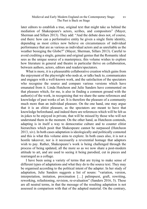#### Medieval and Early Modern England on the Contemporary Stage: The Past is Back on Stage xv

later editors to establish a true, original text that might take us behind the mediation of Shakespeare's actors, scribes, and compositors" (Mayer, Sherman and Sillars 2013). They add: "And the debate does not, of course, end there: how can a performative entity be given a single finite identity, depending as most critics now believe on circumstances of individual performance that are as various as individual actors and as unreliable as the weather besieging the Globe?" (Mayer, Sherman, Sillars 2013). Careful to avoid crediting a single, genuine and original genius that the Romantic ideal sees as the unique source of a masterpiece, this volume wishes to explore how literature in general and theatre in particular thrive on collaboration, between authors, actors, editors and readers/spectators.

What is more, it is a pleasurable collaborative creation which gains from the enjoyment of the playwright who nods at, or talks back to, communicates and engages with a well-known work, and the satisfaction of the spectators who recognise the source and compare various versions which have emanated from it. Linda Hutcheon and Julie Sanders have commented on that pleasure which, for me, is also in finding a common ground with the author(s) of the work, in recognising that we share the same references and knowledge of past works of art. It is therefore the pleasure of a community much more than an individual pleasure. On the one hand, one may argue that it is an elitist pleasure, as the spectators are meant to have that knowledge beforehand, and indeed there are references which will be felt as in-jokes to be enjoyed in private, that will be missed by those who will not understand them in the moment. On the other hand, as Hutcheon contends, adapting is in itself a way to democratise culture and to counter elitist hierarchies which posit that Shakespeare cannot be surpassed (Hutcheon 2013, xiv). In both cases adaptation is ideologically and politically connoted and this is what this volume aims to explore. In both cases also, it is not a hostile takeover, nor is it necessarily a reverential homage that adaptors wish to pay. Rather, Shakespeare's work is being challenged through the process of being updated, all the more so as we now share a post-modern attitude to art, and are used to seeing it being parodied, cut in pieces and rearranged as a collage.

I have been using a variety of terms that are trying to make sense of different types of adaptations and what they do to the source text. They may be organised according to the political intent of the adapter. In her study of adaptation, Julie Sanders suggests a list of nouns: "variation, version, interpretation, imitation, proximation […] palimpsest, graft, rewriting, reworking, refashioning, revision, re-evaluation" (Sanders 2016, 5). These are all neutral terms, in that the message of the resulting adaptation is not assessed in comparison with that of the adapted material. On the contrary,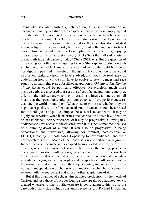#### xvi Introduction

nouns like sclerosis, nostalgia, petrification, fetishism, ritualisation or heritage all qualify negatively the adapter's creative process, implying that the adaptation has not produced any new work but is merely a sterile repetition of the same. That kind of (re)production is often deprecatingly deemed to result in escapism for the spectators: the adaptation does not shed any new light on the past work, but merely invites the audience to travel back in time and stand at the exact same place as their ancestors, enjoying the same performance, at least in theory. Aleks Sierz thus talks of "costume drama with little relevance to today" (Sierz 2011, 64). But the question of relevance goes both ways: imagining today a Shakespeare production with a white actor with black makeup or a cast of men only could be seen as nostalgic and petrified. Interestingly though, such a production today would also reveal strikingly how we have evolved, and would be read anew as underlining how much we still have to evolve to reach gender and race equality. In that light, even a fossilised adaptation of *Othello* or *The Taming of the Shrew* could be politically effective. Nevertheless, much more positive verbs are also used to assess the effect of an adaptation: reinterpret, offer an alternative, renew, reinvent, reread or witness, among others, all mean that the spectators could, as a consequence of the performance, reevaluate the world around them. What those terms stress, whether they are negative or positive, is the fact that an adaptation can and should be assessed for its ideological and political impact, because it is never neutral. It may be highly conservative, when it enshrines or celebrates an elitist view of culture or an established literary reference, or it may be progressive, allowing new audiences to have access to the classics, even if it is then sometimes accused of a dumbing-down of culture. It can also be progressive in being oppositional and subversive, allowing for feminist, post-colonial or LGBTQ+ readings. In both cases it opens up to new audiences, and those new spectators will partake of the conversation and fertilise new ground. Indeed, because the material is adapted from a well-known prior text, the creators, when they choose not to go as far as alter the ending, produce a teleological narrative, with a foregone conclusion: as we all know how Othello ends, what is of interest is the perspective offered on that play when it is adapted again, so the playwrights and the spectators will concentrate on the manner at least as much as on the subject matter, and assess the creation not as an independent work but as one element in the chamber of echoes, in relation with the source text and with all other adaptations of it.

But if this chamber of echoes, this haunted production (in the words of Carlson and also those of Jacques Derrida who speaks of a haunted text) is created whenever a play by Shakespeare is being adapted, this is also the case with history plays which constantly revise history. Richard H. Palmer,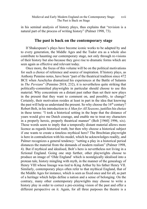in his seminal analysis of history plays, thus explains that "revision is a natural part of the process of writing history" (Palmer 1998, 73).

#### **The past is back on the contemporary stage**

If Shakespeare's plays have become iconic works to be adapted by and to every generation, the Middle Ages and the Tudor era as a whole also contribute to haunting our contemporary stage, not only through re-visions of their history but also because they gave rise to dramatic forms which are seen again as effective and relevant today.

Once more, the focus of this volume will be on the political motivations for such a choice of reference and source of inspiration. If history plays, as Anthony Pennino notes, have been "part of the theatrical tradition since 472 BCE when Aeschylus dramatized his experiences at the Battle of Salamis in *The Persians*" (Pennino 2018, 232), it is nevertheless quite striking that politically-committed playwrights in particular should choose to use this material. Why concentrate on a distant past rather than set their new plays in the present that they want to comment on, and possibly, to change? Certainly, their motivation resides at least in part in the idea that knowing the past will help us understand the present. So why choose the  $16<sup>th</sup>$  century? Robert Bolt, in his introduction to *A Man for All Seasons*, justifies his choice in these terms: "I took a historical setting in the hope that the distance of years would give me Dutch courage, and enable me to treat my characters in a properly heroic, properly theatrical manner" (Bolt [1960] 1996, xix). Those words seem to imply that a temporally distant material allows more licence as regards historical truth; but then why choose a historical subject if one wants to create a timeless mythical hero? The Brechtian playwright is here in contradiction with his model, which he acknowledges readily, and Palmer recognizes a general tendency: "setting a play in a historical period distances the material from the demands of modern realism" (Palmer 1998, 4). But if mythical and idealised, Bolt's hero is nevertheless not living in a fictional England. Going one step further, other playwrights choose to produce an image of 'Olde England' which is nostalgically idealised into a protean tale, history mingling with myth, in the manner of the genealogy of Henry VIII whose lineage was tied to King Arthur by his father Henry VII. Similarly, contemporary plays often refer to that mythical England, that of the Middle Ages for instance, which is seen as fixed once and for all, as part of a heritage which helps define a nation and a sense of belonging. On the contrary, many other contemporary playwrights may choose to write a history play in order to correct a pre-existing vision of the past and offer a different perspective on it. Again, for all three purposes the theatre is a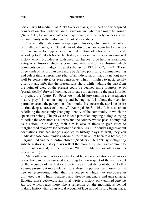particularly fit medium: as Aleks Sierz explains, it "is part of a widespread conversation about who we are as a nation, and where we might be going" (Sierz 2011, 1), and as a collective experience, it effectively creates a sense of community as the individual is part of an audience.

One actually finds a similar typology of history, which may concentrate on mythical heroes, or celebrate an idealised past, or again try to reassess the past so as to suggest a different definition of who we are. Indeed, according to Friedrich Nietzsche, history comes in three shapes: monumental history which provides us with mythical heroes to be held as examples, antiquarian history which is commemorative and critical history which comments on and judges the past (Nietzsche [1873] 1957, 12-22). Those three kinds of history can once more be defined politically: commemorating and celebrating a heroic past (that of an individual or that of a nation) may well be conservative, or even regressive, when it implies to nostalgically glorify it and infer that the present fails short; while judging the past from the point of view of the present could be deemed more progressive, or (paradoxically) forward-looking, as it leads to reassessing the past in order to prepare the future. For Peter Ackroyd, history (and as a consequence history plays) is "about longing and belonging. It is about the need for permanence and the perception of continuity. It concerns the atavistic desire to find deep sources of identity" (Ackroyd 2013, 446). It is also about redefining the constantly changing identity of the community to which the spectators belong. The plays are indeed part of an ongoing dialogue, trying to define the spectators as citizens and the country whose past is being told as a nation. In so doing, their aim is also at times to give voice to marginalised or oppressed sections of society. As Julie Sanders argues about adaptations, but her analysis applies to history plays as well, they can "indicate those communities whose histories have not been told before, the marginalised and the disenfranchised" (Sanders 2016, 179). By spotlighting subaltern stories, history plays reflect the more fully inclusive community of the nation and, in the process, "History, literary or otherwise, is redeployed" (179).

Many other similarities can be found between adaptations and history plays: both are often assessed according to their respect of the source-text or the accuracy of the history they tell again, but the contributors to this volume presume it more relevant to analyse the perspective chosen for the new or re-creations, rather than the degree to which they reproduce an unfiltered past, which is always and already imaginary and unreachable. Echoing those debates, Brian Friel wrote a history play entitled *Making History* which reads more like a reflection on the motivations behind making history, than as an actual account of facts and of history being made.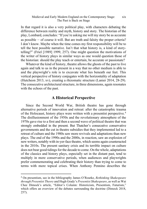In that regard it is also a very political play, with characters debating the difference between reality and myth, history and story. The historian of the play, Lombard, concludes: "If you're asking me will my story be as accurate as possible – of course it will. But are truth and falsity the proper criteria? I don't know. Maybe when the time comes my first responsibility will be to tell the best possible narrative. Isn't that what history is, a kind of storytelling?" (Friel [1989] 1999, 257). One might question the motivations of the writer of history plays in similar ways as one would question those of the historian: should the play teach or entertain, be accurate or passionate?

Whatever the kind of history, theatre allows the ghosts of the past to live again and talk to us in the present in a way that no other medium is able to and the playwright's role is to excavate what lies beneath our feet. This vertical perspective of history conjugates with the horizontality of adaptation (Hutcheon 2013, xv), creating a rhizomatic structure (Lanier 2014, 28-29). The consecutive architectural structure, in three dimensions, again resonates with the echoes of the past.

#### **A Historical Perspective**

Since the Second World War, British theatre has gone through alternative periods of innovation and retreat: after the catastrophic trauma of the Holocaust, history plays were written with a presentist perspective.[4](#page-18-0) The disillusionment of the 1950s and the revolutionary atmosphere of the 1970s gave rise to a first and then a second wave of political theatre that was strongly embedded in the present. But Thatcher's consecutive conservative governments and the cut in theatre subsidies that they implemented led to a retreat of culture and the 1980s saw more revivals and adaptations than new plays. The end of the 1990s and the 2000s, in reaction, saw an explosion of new writers, notably with in-yer-face theatre, which seems again counteracted in the 2010s. The present sanitary crisis and its terrible impact on culture does not bear good tidings for the decade to come. On the whole, adaptations of the classics and history plays, especially set in the distant past, tend to multiply in more conservative periods, when audiences and playwrights prefer commemorating and celebrating their history than trying to come to terms with more topical crises. When Anthony Pennino describes the

<span id="page-18-0"></span><sup>4</sup> On presentism, see in the bibliography James O'Rourke, *Rethinking Shakespeare through Presentist Theory* and Hugh Grady's *Presentist Shakespeare*, as well as Wai Chee Dimock's article, "Editor's Column: Historicism, Presentism, Futurism," which offers an overview of the debates surrounding the doctrine (Dimock 2018, 257).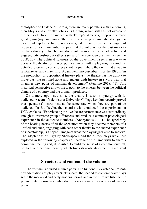atmosphere of Thatcher's Britain, there are many parallels with Cameron's, then May's and currently Johnson's Britain, which still has not overcome the crisis of Brexit, or indeed with Trump's America, supposedly made great *again* (my emphasis): "there was no clear programmatic strategy, no clear roadmap to the future, no desire greater than to reverse the engine of progress for some romanticized past that did not exist for the vast majority of the citizenry, Thatcherism does not promote an ideal of active and engaged citizenship but rather a sense of the voter-as-consumer" (Pennino 2018, 20). The political sclerosis of the governments seems in a way to pervade the theatre, or maybe politically-committed playwrights avoid the petrified present to come to grips with a past where they will find a way to revitalize art and citizenship. Again, Pennino describes it for the 1980s: "in the production of oppositional history plays, the theatre has the ability to move past the petrified zone and engage with history in such a way that imagines new paths of national development" (Pennino 2018, 41). This historical perspective allows me to point to the synergy between the political climate of a country and the drama it produces.

On a more optimistic note, the theatre is also in synergy with its audience. A team of scientists at University College London recently proved that spectators' hearts beat at the same rate when they are part of an audience. Dr Joe Devlin, the scientist who conducted the experiments at UCL, explains: "Experiencing the live theatre performance was extraordinary enough to overcome group differences and produce a common physiological experience in the audience members" (Anonymous 2017). The synchrony of the beating hearts of all the spectators when they become members of a unified audience, engaging with each other thanks to the shared experience of spectatorship, is a hopeful image of what the playwrights wish to achieve. The adaptations of plays by Shakespeare and the history plays which are explored in the following chapters all partake of the same wish to share a communal feeling and, if possible, to build the sense of a common cultural, political and national identity which finds its roots, its cement, in a distant past.

#### **Structure and content of the volume**

The volume is divided in three parts. The first one is devoted to presentday adaptations of plays by Shakespeare, the second to contemporary plays set in the medieval and early modern period, and in the third we listen to the playwrights themselves, who share their experience as writers of history plays.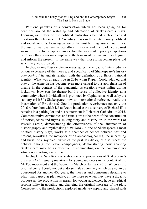#### Medieval and Early Modern England on the Contemporary Stage: The Past is Back on Stage xxi

Part one partakes of a conversation which has been going on for centuries around the restaging and adaptation of Shakespeare's plays. Focusing as it does on the political motivations behind such choices, it questions the relevance of  $16<sup>th</sup>$ -century plays in the contemporary political and social contexts, focusing on two of the most burning issues in our times: the rise of nationalism in post-Brexit Britain and the violence against women. Those two chapters thus explore the way contemporary adaptations of Elizabethan plays may emphasise the lessons of the past in order to guide and inform the present, in the same way that those Elizabethan plays did when they were created.

In chapter one Pascale Sardin investigates the impact of intermediality on our experience of the theatre, and specifically of Shakespeare's history play *Richard III* and its relation with the definition of a British national identity. What was already true in 2016 when Rupert Goold adapted that play at the Almeida has become even more central to our apprehension of theatre in the context of the pandemic, as creations went online during lockdown. How can the theatre build a sense of collective identity as a community when individualism is promoted by Capitalism as well as by the sanitary crisis? Is Shakespeare, now an international reference, really the incarnation of Britishness? Goold's production reverberates not only the 2016 referendum which led to Brexit but also the discovery of Richard III's remains in a parking lot and his reinterment in Leicester Cathedral in 2015. Commemorative ceremonies and rituals are at the heart of the construction of stories, icons and myths, mixing story and history or, in the words of Pascale Sardin, demonstrating the effectiveness of the "interaction of historiography and mythmaking." *Richard III*, one of Shakespeare's most political history plays, works as a chamber of echoes between past and present, reworking the metaphor of an archaeological dig, the unearthing and burial of a mythical figure of the past. Its dialogues also repeat the debates among the leave campaigners, demonstrating how adapting Shakespeare may be as effective in commenting on the contemporary situation as writing a new play.

In chapter 2, Sara Reimers analyses several productions of Shakespeare's divisive *The Taming of the Shrew* for young audiences in the context of the MeToo movement and the Women's March of January 2017. Whereas the original context could not but endorse male supremacy which was not to be questioned for another 400 years, the theatres and companies deciding to adapt that particular play today, all the more so when they have a didactic purpose as the production is meant for young audiences, have an ethical responsibility in updating and changing the original message of the play. Consequently, the productions explored gender-swapping and played with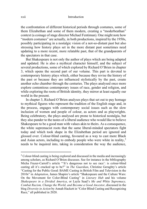the confrontation of different historical periods through costumes, some of them Elizabethan and some of them modern, creating a "moderbeathan" context (a coinage of stage director Michael Fentiman). One might note how "modern costumes" are actually, in both productions, inspired by the 1950s, possibly participating in a nostalgic vision of a not-so-distant past but also stressing how history plays set in the more distant past sometimes need updating to a more recent, more relatable past, that of the grandparents of the spectators in that case.

But Shakespeare is not only the author of plays which are being adapted and updated. He is also a mythical character himself, and the subject of several productions, some of which explored by Richard O'Brien in chapter 3, which opens the second part of our volume. This part is devoted to contemporary history plays which, either because they revise the history of the past or because they are influenced stylistically by the past, create another echo chamber through the centuries. The plays analysed once more explore contentious contemporary issues of race, gender and religion, and while exploring the roots of British identity, they mirror at least equally our world in the present.

In chapter 3, Richard O'Brien analyses plays that set out to pay homage to mythical figures who represent the tradition of the English stage and, in the process, engages with contemporary social issues such as the slow inclusion of women and people of colour, as actors and as playwrights. Being celebratory, the plays analysed are prone to historical nostalgia, but they also pander to the tastes of a liberal audience who would like to believe Shakespeare to be a good man with values akin to theirs. As a consequence, the white supremacist roots that the same liberal-minded spectators fight today and which took shape in the Elizabethan period are ignored and glossed over. Colour-blind casting, favoured as a way to cast more Black and Asian actors, including to embody people who were white in reality,<sup>[5](#page-21-0)</sup> needs to be inquired into, taking in consideration the way the audience,

<span id="page-21-0"></span><sup>5</sup> Colour-blind casting is being explored and discussed in the media and increasingly among scholars, as Richard O'Brien discusses. See for instance in the bibliography Micha Frazer-Carroll's article "'It's dangerous not to see race': is colour-blind casting all it's cracked up to be?" in *The Guardian*, Christine Geraghty's article "Casting for the Public Good: BAME Casting in British Film and Television in the 2010s" in *Adaptation*, James Shapiro's article "Shakespeare and the Culture Wars: On the Movement for Color-Blind Casting" in *Literary Hub* and his volume *Shakespeare in a Divided America*, or Layla Saad's *Me and White Supremacy, Combat Racism, Change the World, and Become a Good Ancestor*, discussed in the blog *Diversity in Action* by Annah Hackett in "Color Blind Casting and Recognizing Race," all published in 2020.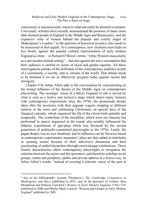consciously or unconsciously, reacts to what can easily be deemed revisionist. Conversely, scholars have recently demonstrated the presence of many more dark-skinned people in England in the Middle Ages and Renaissance, and the expansive roles of women behind the popular and courtly stages of Shakespeare's London, $6$  so the question of historical accuracy also needs to be reassessed in that regard. As a consequence, new creations must fight on two fronts, against the popular cultural representation of early modern England as white – in Richard O'Brien's terms: "white Western masculinity as a universalist default setting" – but also against the naïve assumption that their audience is unified on issues of racial and gender equality. All those interrogations partake of the definition of the contemporary audience as part of a community, a society, and as citizens of the world. That debate needs to be initiated if we are to effectively progress today against racism and misogyny.

Chapter 4 by Julien Alliot adds to the conversation by concentrating on the formal influence of the theatre of the Middle Ages on contemporary playwriting. The nostalgic vision of a Merry England of old is served by what is seen as a festive and inclusive stage which shares many features with contemporary experiments since the 1970s: the promenade theatre takes after the mysteries with their pageant wagons stopping at different stations in the town and celebrating Christianity on special days of the liturgical calendar, which organised the life of the citizen both spatially and temporally. The symbolism of the moralities, which were not itinerary but performed in spaces organised in the round, also notably influenced the didactic experiments of agit-prop which was favoured by the second generation of politically-committed playwrights in the 1970s. Lastly, the pagan theatre was no less ritualised, and its influence can be likewise traced in contemporary experiments: mummers' plays are thus added as interludes or opening scenes because of their subversive dimension and their questioning of settled hierarchies through carnivalesque celebrations. Those formal characteristics allow contemporary playwrights to reorganise the relations between the actors and the spectators, and therefore redefine social groups, centre and periphery, public and private spheres in a festive way. In Julien Alliot's words: "instead of revering a sclerotic vision of the past in

<span id="page-22-0"></span><sup>6</sup> See in the bibliography Ayanna Thompson's *The Cambridge Companion to Shakespeare and Race*, published in 2021; and on the presence of women: Sara Mendelson and Patricia Crawford's *Women in Early Modern England 1550-1720*, published in 2000 and Phyllis Mack's article "Women and Gender in Early Modern England" published in 2001.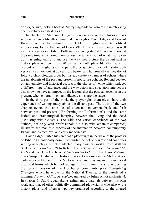an elegiac awe, looking back at 'Merry England' can also result in retrieving deeply subversive strategies."

In chapter 5, Marianne Drugeon concentrates on two history plays written by two politically-committed playwrights, David Edgar and Howard Brenton, on the translation of the Bible in English and its political implications, for the England of Henry VIII, Elizabeth I and James I as well as for contemporary Britain. Both authors having started their career around the same time and sharing more or less the same vision of what theatre can do, it is enlightening to analyse the way they picture the distant past in history plays written in the 2010s. While both plays literally haunt the present with the ghosts of the past, the perspective they offer shifts both vertically as they look at power from below, and horizontally as they do not follow a chronological order but instead create a chamber of echoes where the inhabitants of the past and present if not future cohabit. Beyond debates on authenticity and historical accuracy, the choice of venue which induces a different type of audience, and the way actors and spectators interact are also shown to have an impact on the lessons that the past can teach us in the present, when entertainment and didacticism share the stage.

In the third part of the book, the playwrights themselves share their experience of writing today about the distant past. The titles of the two chapters evince the same idea of a constant movement back and forth between past and present ("Re-forming the Reformation"), and the same lexical and dramaturgical interplay between the living and the dead ("Walking with Ghosts"). The wide and varied experience of the two authors, not only with professionals but also with amateur companies, illustrates the manifold aspects of the interaction between contemporary Britain and its medieval and early modern past.

David Edgar started his career as a playwright in the wake of the protests of 1968. As a politically-committed writer, he not only wrote and continues writing new plays, but also adapted many classical works, from William Shakespeare's *Richard III* to Robert Louis Stevenson's *Dr Jekyll and Mr Hyde* and from Charles Dickens' *Nicholas Nickleby* to Julian Barnes' *Arthur and George*. He also wrote history plays set variously in the Middle Ages, early modern England or the Victorian era, and was inspired by medieval theatrical forms which he took up again like the mummers' play opening the second version of the Dorchester community play *Entertaining Strangers* which he wrote for the National Theatre, or the parody of a mummers' play in *O Fair Jerusalem*, analysed by Julien Alliot in chapter 4. In chapter 6, David Edgar draws enlightening parallels between his own work and that of other politically-committed playwrights who also wrote history plays, and offers a typology organised according to the alleged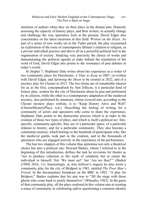#### Medieval and Early Modern England on the Contemporary Stage: The Past is Back on Stage xxv

intention of authors when they set their plays in the distant past. Honestly assessing the capacity of history plays, and their writers, to actually change and challenge the way spectators look at the present, David Edgar also concentrates on his latest incursion in this field: *Written on the Heart*. As part of a series of new works set in the Tudor period, the play occasioned an exploration of the roots of contemporary Britain's relation to religion, as a private individual practice and above all as a powerful political tool in the organisation of society. Studying very precisely the choice of words and demonstrating the political agenda at stake behind the translation of the word of God, David Edgar also points to the resonance of past debates in today's world.

In chapter 7, Stephanie Dale writes about her experience as a writer of two community plays for Dorchester, *A Time to Keep* in 2007, co-written with David Edgar, and *Spinning the Moon* to be created in 2022, and of a mystery play for Chester in 2013. The two forms are of remarkable interest for us as the first, conceptualised by Ann Jellicoe, is a particular kind of history play, written for the city of Dorchester about its past and performed by its citizens, while the other is a contemporary adaptation of the medieval mystery, also performed by amateurs, whose avowed aim, according to the Chester mystery plays website, is to "Keep History Alive and Well" (ChesterMysteryPlays, n.d.). Describing the feeling of writing for a community of actors and spectators who come to share the experience, Stephanie Dale points to the democratic process which is at stake in the creation of those two types of plays, and which is itself a political act. Sitespecific, community-specific, they are of a particular space, of a particular relation to history, and for a particular community. They also become a communal creation, which belongs to the hundreds of participants who, like the medieval guilds, took part in the creation, and to the thousands of spectators who are engaged actively in the experience of the performance.

The last two chapters of this volume thus epitomise not only a theatrical choice but also a political one: Howard Barker, whom I referred to at the beginning of this introduction, defines the task he envisions for theatre as "not to produce cohesion or the myth of solidarity but to return the individual to himself. Not 'We must act!' but 'Are we thus?'" (Barker [1989] 2016, 11). Interestingly, at Ann Jellicoe's request he also wrote a community play for the city of Bridport in 1981, entitled *The Poor Man's Friend*. In the documentary broadcast on the BBC in 1982, "A play for Bridport," Barker explains that his aim was to "fill the stage with those ghosts who come back to justify themselves" (Wheatley 1982). In the guise of that community play, all the plays explored in this volume aim at creating a sense of community in celebrating and/or questioning a common identity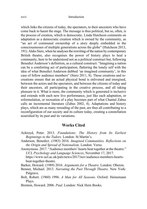which links the citizens of today, the spectators, to their ancestors who have come back to haunt the stage. The message is thus political, but so, often, is the process of creation, which is democratic. Linda Hutcheon comments on adaptation as a democratic creation which is owned by the community, as "an act of communal ownership of a story deeply embedded in the consciousnesses of multiple generations across the globe" (Hutcheon 2013, 191). Aleks Sierz, when he analyses the rewriting of the nation by contemporary British theatre, also recognises the power of history plays to heal a community, here to be understood not as a political construct but, following Benedict Anderson's definition, as a cultural construct: "Imagining a nation can be a comforting act of participation, flattering the lonely self with the idea of what Benedict Anderson dubbed 'an imagined community', in this case of fellow audience members" (Sierz 2011, 8). Those creations and recreations ensure that an actual physical bond is enlivened and energised, between the actors and the spectators, and between the citizens of today and their ancestors, all participating in the creative process, and all taking pleasure in it. What is more, the community which is generated is inclusive and extends with each new live performance, just like each adaptation, or reformulation, or recreation of a play becomes part of what Chantal Zabus calls an incremental literature (Zabus 2002, 4). Adaptations and history plays, which are as many rereading of the past, are thus all contributing to a reconfiguration of our society and its culture today, creating a constellation nourished by its past and its variations.

#### **Works Cited**

- Ackroyd, Peter. 2013. *Foundations: The History from Its Earliest Beginnings to the Tudors.* London: St Martin's.
- Anderson, Benedict. (1983) 2016. *Imagined Communities, Reflections on the Origin and Spread of Nationalism*. London: Verso.
- Anonymous. 2017. "Audience members' hearts beat together at the theatre." *UCL Psychology and Language Sciences*, November 17, 2017*.* [https://www.ucl.ac.uk/pals/news/2017/nov/audience-members-hearts](https://www.ucl.ac.uk/pals/news/2017/nov/audience-members-hearts-beat-together-theatre)[beat-together-theatre.](https://www.ucl.ac.uk/pals/news/2017/nov/audience-members-hearts-beat-together-theatre)
- Barker, Howard. (1989) 2016. *Arguments for a Theatre*. London: Oberon.
- Bennet, Michael. 2013. *Narrating the Past Through Theatre*. New York: Palgrave.
- Bolt, Robert. (1960) 1996. *A Man for All Seasons*. Oxford: Heinemann Plays.
- Brenton, Howard. 2006. *Paul*. London: Nick Hern Books.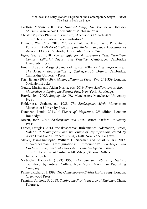Medieval and Early Modern England on the Contemporary Stage: xxvii The Past is Back on Stage

- Carlson, Marvin. 2001. *The Haunted Stage, The Theater as Memory Machine*. Ann Arbor: University of Michigan Press.
- Chester Mystery Plays. n. d. (website). Accessed 30 March 2021. [https://chestermysteryplays.com/history/.](https://chestermysteryplays.com/history/)
- Dimock, Wai Chee. 2018. "Editor's Column: Historicism, Presentism, Futurism." *PMLA/Publications of the Modern Language Association of America* 133 (2). Cambridge University Press: 257-63.
- Egan, Gabriel. 2010. *The Struggle for Shakespeare's Text: Twentieth-Century Editorial Theory and Practice*. Cambridge: Cambridge University Press.
- Erne, Lukas and Margaret Jane Kidnie, eds. 2004. *Textual Performances: The Modern Reproduction of Shakespeare's Drama*. Cambridge: Cambridge University Press.
- Friel, Brian. (1989) 1999. *Making History*. In *Plays: Two*, 241-339. London: Nick Hern Books.
- Gerzic, Marina and Aidan Norrie, eds. 2019. *From Medievalism to Early-Modernism, Adapting the English Past*. New York: Routledge.
- Harvie, Jen. 2005. *Staging the UK*. Manchester: Manchester University Press.
- Holderness, Graham, ed. 1988. *The Shakespeare Myth*. Manchester: Manchester University Press.
- Hutcheon, Linda. 2013. *A Theory of Adaptation*, 2nd edition. London: Routledge.
- Jowett, John. 2007. *Shakespeare and Text*. Oxford: Oxford University Press.
- Lanier, Douglas. 2014. "Shakespearean Rhizomatics: Adaptation, Ethics, Value." In *Shakespeare and the Ethics of Appropriation*, edited by Alexa Huang and Elizabeth Rivlin, 21-40. New York: Palgrave.
- Mayer, Jean-Christophe, William H. Sherman and Stuart Sillars. 2013. "Shakespearean Configurations: Introduction" *Shakespearean Configurations, Early Modern Literary Studies* Special Issue 21. [https://extra.shu.ac.uk/emls/si-21/01-Mayer,Sherman,Sillars\\_](https://extra.shu.ac.uk/emls/si-21/01-Mayer,Sherman,Sillars_%20Introduction.htm)  [Introduction.htm.](https://extra.shu.ac.uk/emls/si-21/01-Mayer,Sherman,Sillars_%20Introduction.htm)
- Nietzsche, Friedrich. (1873) 1957. *The Use and Abuse of History*. Translated by Adrian Collins. New York: Macmillan Publishing Company.
- Palmer, Richard H. 1998. *The Contemporary British History Play*. London: Greenwood Press.
- Pennino, Anthony P. 2018. *Staging the Past in the Age of Thatcher*. Cham: Palgrave.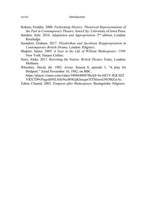- Rokem, Freddie. 2000. *Performing History: Theatrical Representations of the Past in Contemporary Theatre*. Iowa City: University of Iowa Press.
- Sanders. Julie. 2016. *Adaptation and Appropriation,* 2nd edition. London: Routledge.
- Saunders, Graham. 2017. *Elizabethan and Jacobean Reappropriation in Contemporary British Drama*. London: Palgrave.
- Shapiro. James. 2005. *A Year in the Life of William Shakespeare: 1599*. New York: Harper Collins.
- Sierz, Aleks. 2011. *Rewriting the Nation: British Theatre Today*. London: Methuen.
- Wheatley, David, dir. 1982. *Arena*. Season 8, episode 3, "A play for Bridport." Aired November 16, 1982, on BBC. [https://player.vimeo.com/video/340864008?fbclid=IwAR1V-8QL9ZZ](https://player.vimeo.com/video/340864008?fbclid=IwAR1V-8QL9ZZ%20VRX7D9vPuqoit0NEA0y9xuW6GjKlmcgw5ITMswsGNOMZzrAc)  [VRX7D9vPuqoit0NEA0y9xuW6GjKlmcgw5ITMswsGNOMZzrAc.](https://player.vimeo.com/video/340864008?fbclid=IwAR1V-8QL9ZZ%20VRX7D9vPuqoit0NEA0y9xuW6GjKlmcgw5ITMswsGNOMZzrAc)
- Zabus. Chantal. 2002. *Tempests after Shakespeare*. Basingstoke: Palgrave.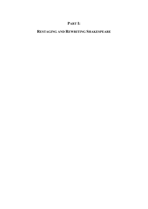## **PART I:**

## **RESTAGING AND REWRITING SHAKESPEARE**